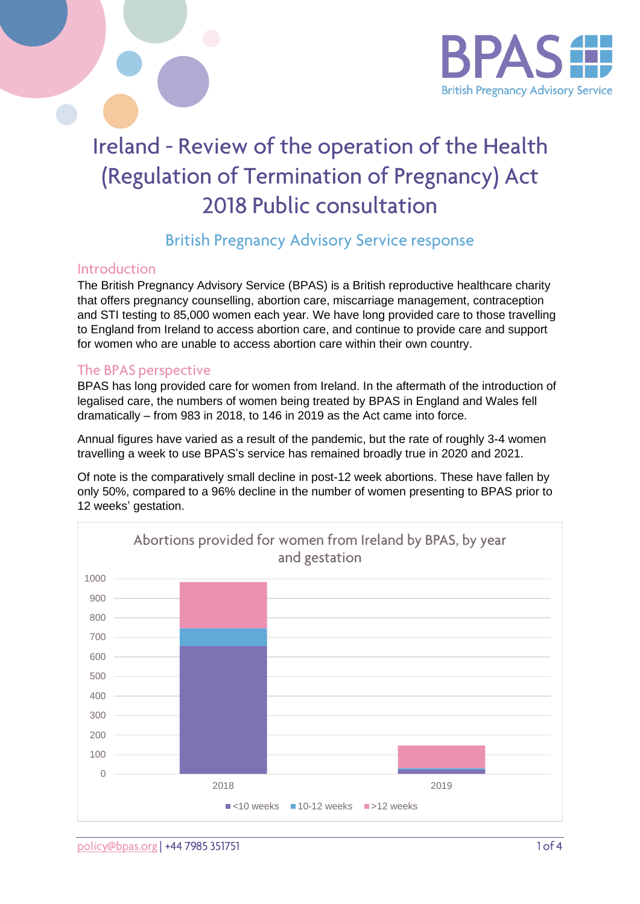

# Ireland - Review of the operation of the Health (Regulation of Termination of Pregnancy) Act 2018 Public consultation

## **British Pregnancy Advisory Service response**

### Introduction

The British Pregnancy Advisory Service (BPAS) is a British reproductive healthcare charity that offers pregnancy counselling, abortion care, miscarriage management, contraception and STI testing to 85,000 women each year. We have long provided care to those travelling to England from Ireland to access abortion care, and continue to provide care and support for women who are unable to access abortion care within their own country.

#### The BPAS perspective

BPAS has long provided care for women from Ireland. In the aftermath of the introduction of legalised care, the numbers of women being treated by BPAS in England and Wales fell dramatically – from 983 in 2018, to 146 in 2019 as the Act came into force.

Annual figures have varied as a result of the pandemic, but the rate of roughly 3-4 women travelling a week to use BPAS's service has remained broadly true in 2020 and 2021.

Of note is the comparatively small decline in post-12 week abortions. These have fallen by only 50%, compared to a 96% decline in the number of women presenting to BPAS prior to 12 weeks' gestation.

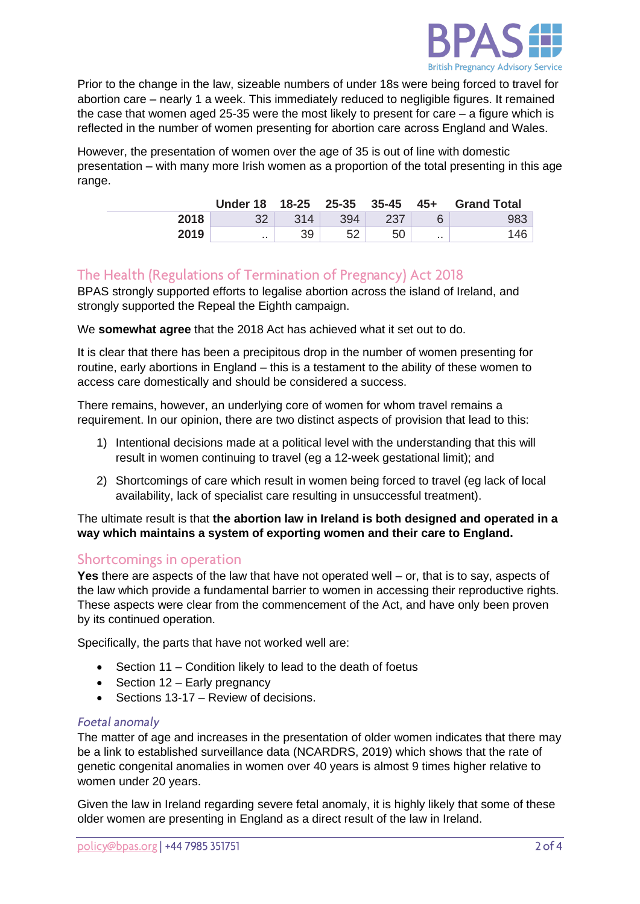

Prior to the change in the law, sizeable numbers of under 18s were being forced to travel for abortion care – nearly 1 a week. This immediately reduced to negligible figures. It remained the case that women aged 25-35 were the most likely to present for care  $-$  a figure which is reflected in the number of women presenting for abortion care across England and Wales.

However, the presentation of women over the age of 35 is out of line with domestic presentation – with many more Irish women as a proportion of the total presenting in this age range.

|      |          |     |     |     |           | Under 18 18-25 25-35 35-45 45+ Grand Total |
|------|----------|-----|-----|-----|-----------|--------------------------------------------|
| 2018 | つつ       | 314 | 394 | 237 |           | 983                                        |
| 2019 | $\cdots$ | 39  |     | 50  | $\cdot$ . | 146                                        |

## The Health (Regulations of Termination of Pregnancy) Act 2018

BPAS strongly supported efforts to legalise abortion across the island of Ireland, and strongly supported the Repeal the Eighth campaign.

We **somewhat agree** that the 2018 Act has achieved what it set out to do.

It is clear that there has been a precipitous drop in the number of women presenting for routine, early abortions in England – this is a testament to the ability of these women to access care domestically and should be considered a success.

There remains, however, an underlying core of women for whom travel remains a requirement. In our opinion, there are two distinct aspects of provision that lead to this:

- 1) Intentional decisions made at a political level with the understanding that this will result in women continuing to travel (eg a 12-week gestational limit); and
- 2) Shortcomings of care which result in women being forced to travel (eg lack of local availability, lack of specialist care resulting in unsuccessful treatment).

The ultimate result is that **the abortion law in Ireland is both designed and operated in a way which maintains a system of exporting women and their care to England.** 

#### Shortcomings in operation

**Yes** there are aspects of the law that have not operated well – or, that is to say, aspects of the law which provide a fundamental barrier to women in accessing their reproductive rights. These aspects were clear from the commencement of the Act, and have only been proven by its continued operation.

Specifically, the parts that have not worked well are:

- Section 11 Condition likely to lead to the death of foetus
- Section 12 Early pregnancy
- Sections 13-17 Review of decisions.

#### Foetal anomaly

The matter of age and increases in the presentation of older women indicates that there may be a link to established surveillance data (NCARDRS, 2019) which shows that the rate of genetic congenital anomalies in women over 40 years is almost 9 times higher relative to women under 20 years.

Given the law in Ireland regarding severe fetal anomaly, it is highly likely that some of these older women are presenting in England as a direct result of the law in Ireland.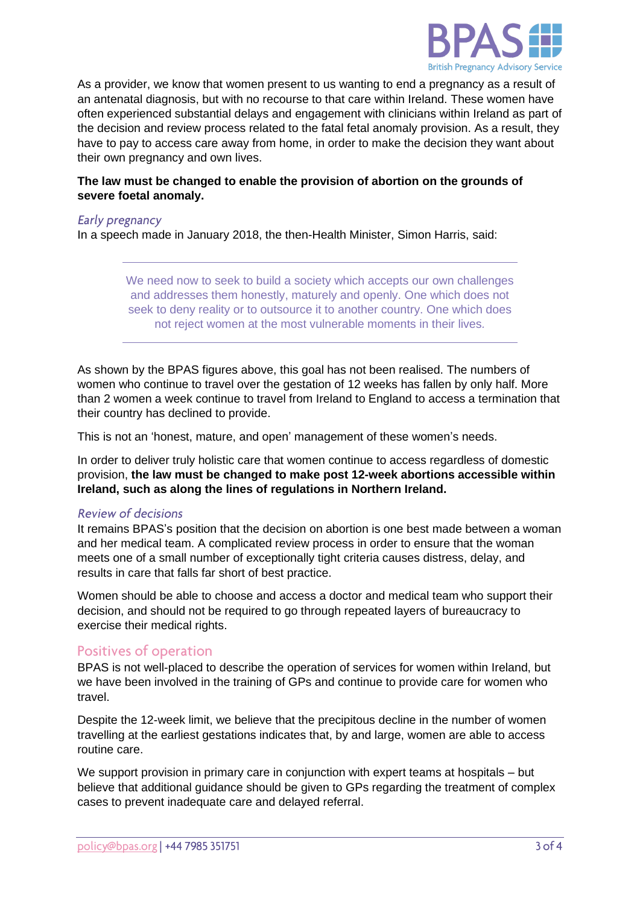

As a provider, we know that women present to us wanting to end a pregnancy as a result of an antenatal diagnosis, but with no recourse to that care within Ireland. These women have often experienced substantial delays and engagement with clinicians within Ireland as part of the decision and review process related to the fatal fetal anomaly provision. As a result, they have to pay to access care away from home, in order to make the decision they want about their own pregnancy and own lives.

#### **The law must be changed to enable the provision of abortion on the grounds of severe foetal anomaly.**

#### Early pregnancy

In a speech made in January 2018, the then-Health Minister, Simon Harris, said:

We need now to seek to build a society which accepts our own challenges and addresses them honestly, maturely and openly. One which does not seek to deny reality or to outsource it to another country. One which does not reject women at the most vulnerable moments in their lives*.*

As shown by the BPAS figures above, this goal has not been realised. The numbers of women who continue to travel over the gestation of 12 weeks has fallen by only half. More than 2 women a week continue to travel from Ireland to England to access a termination that their country has declined to provide.

This is not an 'honest, mature, and open' management of these women's needs.

In order to deliver truly holistic care that women continue to access regardless of domestic provision, **the law must be changed to make post 12-week abortions accessible within Ireland, such as along the lines of regulations in Northern Ireland.**

#### **Review of decisions**

It remains BPAS's position that the decision on abortion is one best made between a woman and her medical team. A complicated review process in order to ensure that the woman meets one of a small number of exceptionally tight criteria causes distress, delay, and results in care that falls far short of best practice.

Women should be able to choose and access a doctor and medical team who support their decision, and should not be required to go through repeated layers of bureaucracy to exercise their medical rights.

#### Positives of operation

BPAS is not well-placed to describe the operation of services for women within Ireland, but we have been involved in the training of GPs and continue to provide care for women who travel.

Despite the 12-week limit, we believe that the precipitous decline in the number of women travelling at the earliest gestations indicates that, by and large, women are able to access routine care.

We support provision in primary care in conjunction with expert teams at hospitals – but believe that additional guidance should be given to GPs regarding the treatment of complex cases to prevent inadequate care and delayed referral.